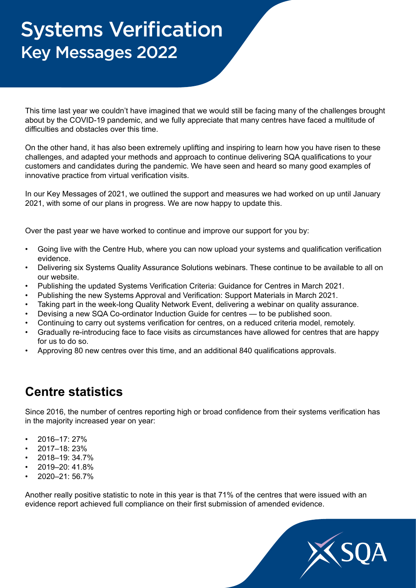# Systems Verification Key Messages 2022

This time last year we couldn't have imagined that we would still be facing many of the challenges brought about by the COVID-19 pandemic, and we fully appreciate that many centres have faced a multitude of difficulties and obstacles over this time.

On the other hand, it has also been extremely uplifting and inspiring to learn how you have risen to these challenges, and adapted your methods and approach to continue delivering SQA qualifications to your customers and candidates during the pandemic. We have seen and heard so many good examples of innovative practice from virtual verification visits.

In our Key Messages of 2021, we outlined the support and measures we had worked on up until January 2021, with some of our plans in progress. We are now happy to update this.

Over the past year we have worked to continue and improve our support for you by:

- Going live with the Centre Hub, where you can now upload your systems and qualification verification evidence.
- Delivering six Systems Quality Assurance Solutions webinars. These continue to be available to all on our website.
- Publishing the updated Systems Verification Criteria: Guidance for Centres in March 2021.
- Publishing the new Systems Approval and Verification: Support Materials in March 2021.
- Taking part in the week-long Quality Network Event, delivering a webinar on quality assurance.
- Devising a new SQA Co-ordinator Induction Guide for centres to be published soon.
- Continuing to carry out systems verification for centres, on a reduced criteria model, remotely.
- Gradually re-introducing face to face visits as circumstances have allowed for centres that are happy for us to do so.
- Approving 80 new centres over this time, and an additional 840 qualifications approvals.

#### **Centre statistics**

Since 2016, the number of centres reporting high or broad confidence from their systems verification has in the majority increased year on year:

- 2016–17: 27%
- 2017–18: 23%
- 2018–19: 34.7%
- 2019–20: 41.8%
- 2020–21: 56.7%

Another really positive statistic to note in this year is that 71% of the centres that were issued with an evidence report achieved full compliance on their first submission of amended evidence.